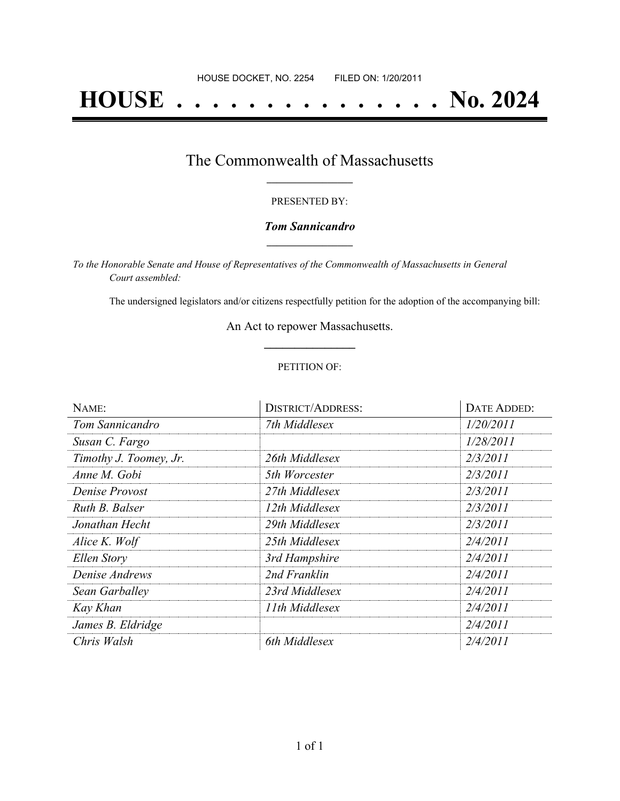# **HOUSE . . . . . . . . . . . . . . . No. 2024**

### The Commonwealth of Massachusetts **\_\_\_\_\_\_\_\_\_\_\_\_\_\_\_\_\_**

#### PRESENTED BY:

#### *Tom Sannicandro* **\_\_\_\_\_\_\_\_\_\_\_\_\_\_\_\_\_**

*To the Honorable Senate and House of Representatives of the Commonwealth of Massachusetts in General Court assembled:*

The undersigned legislators and/or citizens respectfully petition for the adoption of the accompanying bill:

An Act to repower Massachusetts. **\_\_\_\_\_\_\_\_\_\_\_\_\_\_\_**

#### PETITION OF:

| NAME:                  | <b>DISTRICT/ADDRESS:</b> | <b>DATE ADDED:</b> |
|------------------------|--------------------------|--------------------|
| Tom Sannicandro        | 7th Middlesex            | 1/20/2011          |
| Susan C. Fargo         |                          | 1/28/2011          |
| Timothy J. Toomey, Jr. | 26th Middlesex           | 2/3/2011           |
| Anne M. Gobi           | 5th Worcester            | 2/3/2011           |
| Denise Provost         | 27th Middlesex           | 2/3/2011           |
| Ruth B. Balser         | 12th Middlesex           | 2/3/2011           |
| Jonathan Hecht         | 29th Middlesex           | 2/3/2011           |
| Alice K. Wolf          | 25th Middlesex           | 2/4/2011           |
| Ellen Story            | 3rd Hampshire            | 2/4/2011           |
| Denise Andrews         | 2nd Franklin             | 2/4/2011           |
| Sean Garballey         | 23rd Middlesex           | 2/4/2011           |
| Kay Khan               | 11th Middlesex           | 2/4/2011           |
| James B. Eldridge      |                          | 2/4/2011           |
| Chris Walsh            | 6th Middlesex            | 2/4/2011           |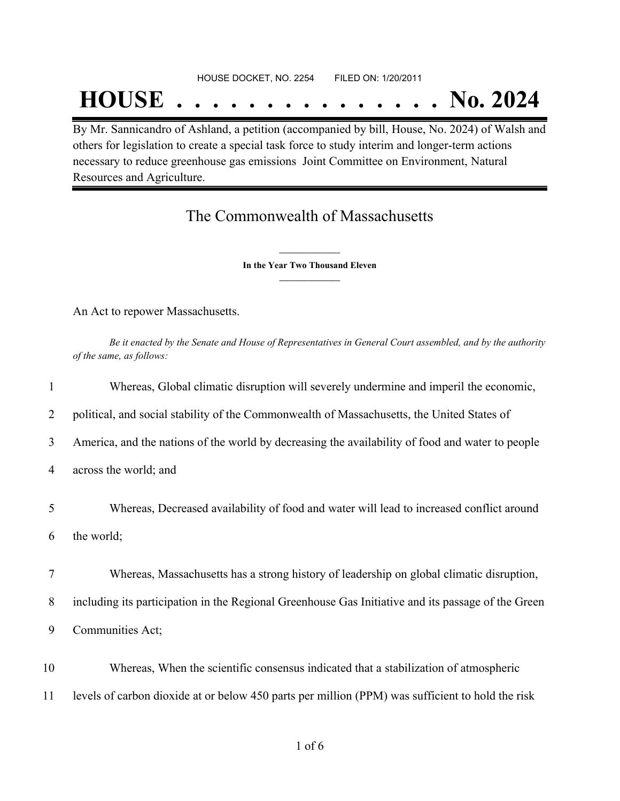## **HOUSE . . . . . . . . . . . . . . . No. 2024**

By Mr. Sannicandro of Ashland, a petition (accompanied by bill, House, No. 2024) of Walsh and others for legislation to create a special task force to study interim and longer-term actions necessary to reduce greenhouse gas emissions Joint Committee on Environment, Natural Resources and Agriculture.

## The Commonwealth of Massachusetts

**\_\_\_\_\_\_\_\_\_\_\_\_\_\_\_ In the Year Two Thousand Eleven \_\_\_\_\_\_\_\_\_\_\_\_\_\_\_**

An Act to repower Massachusetts.

Be it enacted by the Senate and House of Representatives in General Court assembled, and by the authority *of the same, as follows:*

| 1              | Whereas, Global climatic disruption will severely undermine and imperil the economic,              |
|----------------|----------------------------------------------------------------------------------------------------|
| $\overline{2}$ | political, and social stability of the Commonwealth of Massachusetts, the United States of         |
| 3              | America, and the nations of the world by decreasing the availability of food and water to people   |
| 4              | across the world; and                                                                              |
| 5              | Whereas, Decreased availability of food and water will lead to increased conflict around           |
| 6              | the world;                                                                                         |
| 7              | Whereas, Massachusetts has a strong history of leadership on global climatic disruption,           |
| 8              | including its participation in the Regional Greenhouse Gas Initiative and its passage of the Green |
| 9              | Communities Act;                                                                                   |
| 10             | Whereas, When the scientific consensus indicated that a stabilization of atmospheric               |
| 11             | levels of carbon dioxide at or below 450 parts per million (PPM) was sufficient to hold the risk   |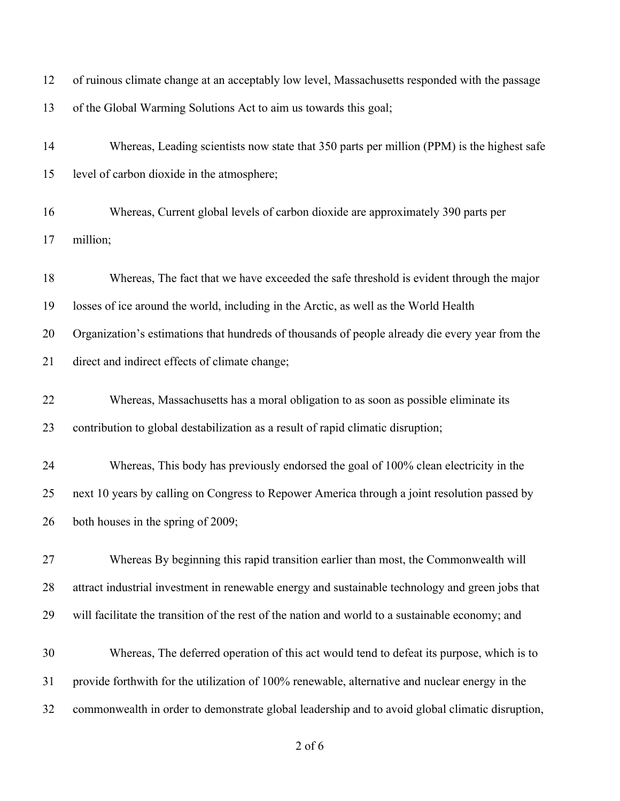| 12 | of ruinous climate change at an acceptably low level, Massachusetts responded with the passage   |
|----|--------------------------------------------------------------------------------------------------|
| 13 | of the Global Warming Solutions Act to aim us towards this goal;                                 |
| 14 | Whereas, Leading scientists now state that 350 parts per million (PPM) is the highest safe       |
| 15 | level of carbon dioxide in the atmosphere;                                                       |
| 16 | Whereas, Current global levels of carbon dioxide are approximately 390 parts per                 |
| 17 | million;                                                                                         |
| 18 | Whereas, The fact that we have exceeded the safe threshold is evident through the major          |
| 19 | losses of ice around the world, including in the Arctic, as well as the World Health             |
| 20 | Organization's estimations that hundreds of thousands of people already die every year from the  |
| 21 | direct and indirect effects of climate change;                                                   |
| 22 | Whereas, Massachusetts has a moral obligation to as soon as possible eliminate its               |
| 23 | contribution to global destabilization as a result of rapid climatic disruption;                 |
| 24 | Whereas, This body has previously endorsed the goal of 100% clean electricity in the             |
| 25 | next 10 years by calling on Congress to Repower America through a joint resolution passed by     |
| 26 | both houses in the spring of 2009;                                                               |
| 27 | Whereas By beginning this rapid transition earlier than most, the Commonwealth will              |
| 28 | attract industrial investment in renewable energy and sustainable technology and green jobs that |
| 29 | will facilitate the transition of the rest of the nation and world to a sustainable economy; and |
| 30 | Whereas, The deferred operation of this act would tend to defeat its purpose, which is to        |
| 31 | provide forthwith for the utilization of 100% renewable, alternative and nuclear energy in the   |
| 32 | commonwealth in order to demonstrate global leadership and to avoid global climatic disruption,  |
|    |                                                                                                  |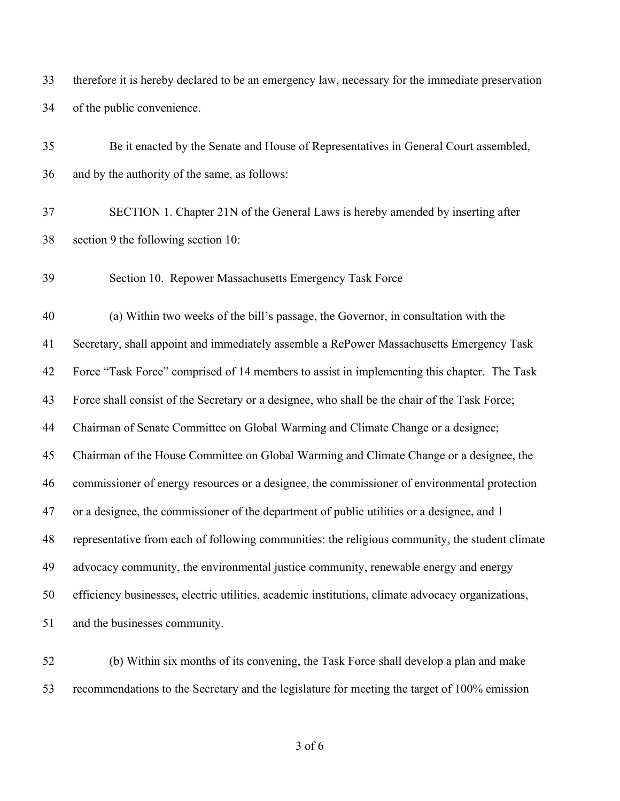therefore it is hereby declared to be an emergency law, necessary for the immediate preservation of the public convenience.

 Be it enacted by the Senate and House of Representatives in General Court assembled, and by the authority of the same, as follows: SECTION 1. Chapter 21N of the General Laws is hereby amended by inserting after section 9 the following section 10: Section 10. Repower Massachusetts Emergency Task Force (a) Within two weeks of the bill's passage, the Governor, in consultation with the Secretary, shall appoint and immediately assemble a RePower Massachusetts Emergency Task Force "Task Force" comprised of 14 members to assist in implementing this chapter. The Task Force shall consist of the Secretary or a designee, who shall be the chair of the Task Force; Chairman of Senate Committee on Global Warming and Climate Change or a designee; Chairman of the House Committee on Global Warming and Climate Change or a designee, the commissioner of energy resources or a designee, the commissioner of environmental protection or a designee, the commissioner of the department of public utilities or a designee, and 1 representative from each of following communities: the religious community, the student climate advocacy community, the environmental justice community, renewable energy and energy efficiency businesses, electric utilities, academic institutions, climate advocacy organizations, and the businesses community.

 (b) Within six months of its convening, the Task Force shall develop a plan and make recommendations to the Secretary and the legislature for meeting the target of 100% emission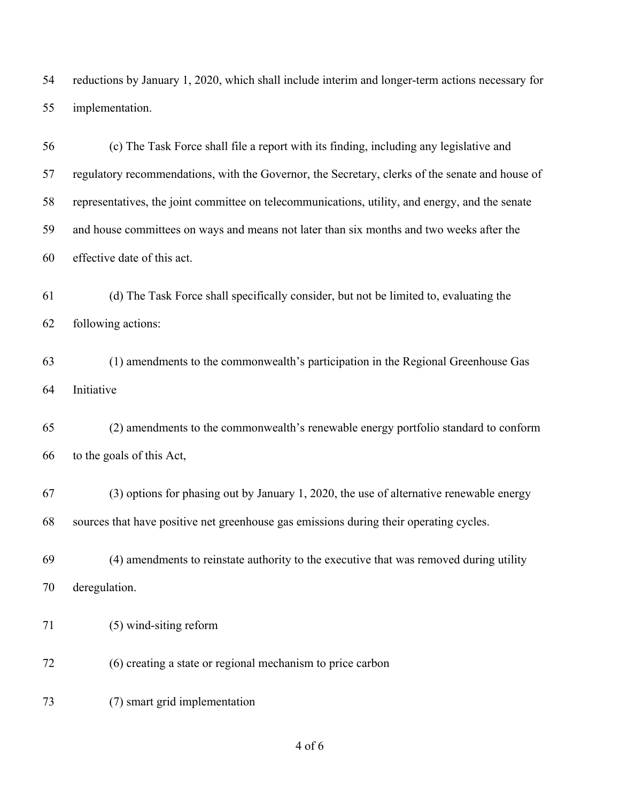reductions by January 1, 2020, which shall include interim and longer-term actions necessary for implementation.

 (c) The Task Force shall file a report with its finding, including any legislative and regulatory recommendations, with the Governor, the Secretary, clerks of the senate and house of representatives, the joint committee on telecommunications, utility, and energy, and the senate and house committees on ways and means not later than six months and two weeks after the effective date of this act.

 (d) The Task Force shall specifically consider, but not be limited to, evaluating the following actions:

 (1) amendments to the commonwealth's participation in the Regional Greenhouse Gas Initiative

 (2) amendments to the commonwealth's renewable energy portfolio standard to conform to the goals of this Act,

 (3) options for phasing out by January 1, 2020, the use of alternative renewable energy sources that have positive net greenhouse gas emissions during their operating cycles.

 (4) amendments to reinstate authority to the executive that was removed during utility deregulation.

- (5) wind-siting reform
- (6) creating a state or regional mechanism to price carbon
- (7) smart grid implementation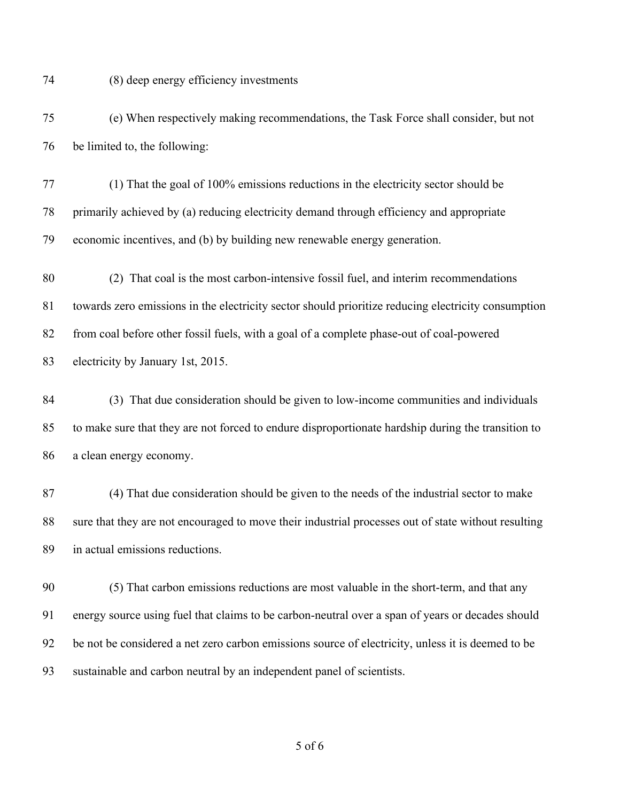(8) deep energy efficiency investments

 (e) When respectively making recommendations, the Task Force shall consider, but not be limited to, the following:

 (1) That the goal of 100% emissions reductions in the electricity sector should be primarily achieved by (a) reducing electricity demand through efficiency and appropriate economic incentives, and (b) by building new renewable energy generation.

 (2) That coal is the most carbon-intensive fossil fuel, and interim recommendations towards zero emissions in the electricity sector should prioritize reducing electricity consumption from coal before other fossil fuels, with a goal of a complete phase-out of coal-powered electricity by January 1st, 2015.

 (3) That due consideration should be given to low-income communities and individuals to make sure that they are not forced to endure disproportionate hardship during the transition to a clean energy economy.

 (4) That due consideration should be given to the needs of the industrial sector to make sure that they are not encouraged to move their industrial processes out of state without resulting in actual emissions reductions.

 (5) That carbon emissions reductions are most valuable in the short-term, and that any energy source using fuel that claims to be carbon-neutral over a span of years or decades should be not be considered a net zero carbon emissions source of electricity, unless it is deemed to be sustainable and carbon neutral by an independent panel of scientists.